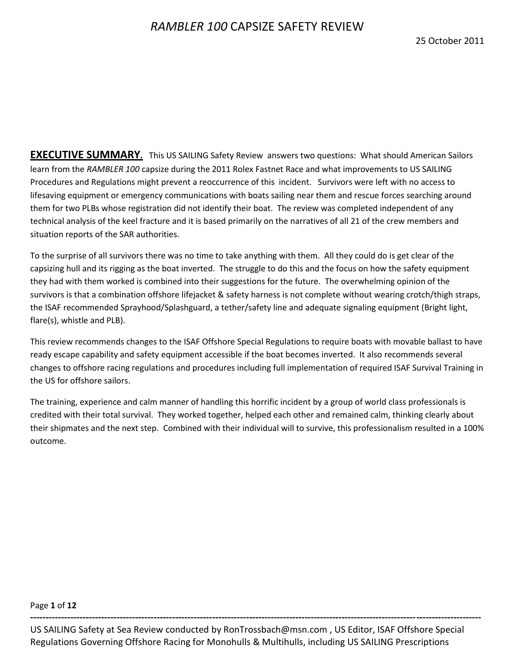**EXECUTIVE SUMMARY.** This US SAILING Safety Review answers two questions: What should American Sailors learn from the *RAMBLER 100* capsize during the 2011 Rolex Fastnet Race and what improvements to US SAILING Procedures and Regulations might prevent a reoccurrence of this incident. Survivors were left with no access to lifesaving equipment or emergency communications with boats sailing near them and rescue forces searching around them for two PLBs whose registration did not identify their boat. The review was completed independent of any technical analysis of the keel fracture and it is based primarily on the narratives of all 21 of the crew members and situation reports of the SAR authorities.

To the surprise of all survivors there was no time to take anything with them. All they could do is get clear of the capsizing hull and its rigging as the boat inverted. The struggle to do this and the focus on how the safety equipment they had with them worked is combined into their suggestions for the future. The overwhelming opinion of the survivors is that a combination offshore lifejacket & safety harness is not complete without wearing crotch/thigh straps, the ISAF recommended Sprayhood/Splashguard, a tether/safety line and adequate signaling equipment (Bright light, flare(s), whistle and PLB).

This review recommends changes to the ISAF Offshore Special Regulations to require boats with movable ballast to have ready escape capability and safety equipment accessible if the boat becomes inverted. It also recommends several changes to offshore racing regulations and procedures including full implementation of required ISAF Survival Training in the US for offshore sailors.

The training, experience and calm manner of handling this horrific incident by a group of world class professionals is credited with their total survival. They worked together, helped each other and remained calm, thinking clearly about their shipmates and the next step. Combined with their individual will to survive, this professionalism resulted in a 100% outcome.

Page **1** of **12**

US SAILING Safety at Sea Review conducted by RonTrossbach@msn.com , US Editor, ISAF Offshore Special Regulations Governing Offshore Racing for Monohulls & Multihulls, including US SAILING Prescriptions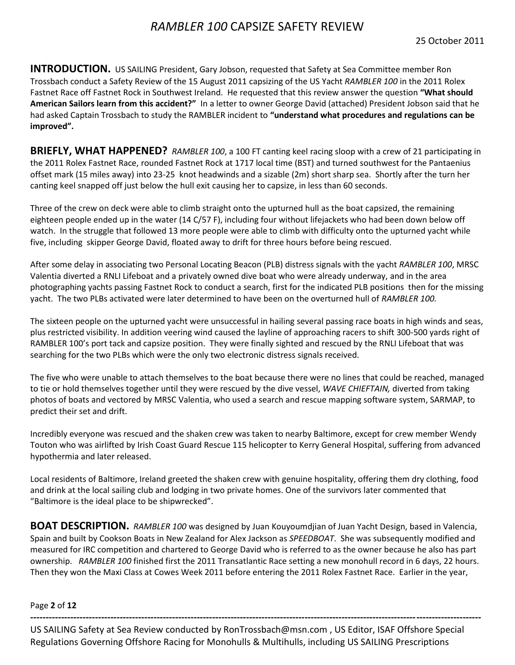**INTRODUCTION.** US SAILING President, Gary Jobson, requested that Safety at Sea Committee member Ron Trossbach conduct a Safety Review of the 15 August 2011 capsizing of the US Yacht *RAMBLER 100* in the 2011 Rolex Fastnet Race off Fastnet Rock in Southwest Ireland. He requested that this review answer the question **"What should American Sailors learn from this accident?"** In a letter to owner George David (attached) President Jobson said that he had asked Captain Trossbach to study the RAMBLER incident to **"understand what procedures and regulations can be improved".**

**BRIEFLY, WHAT HAPPENED?** *RAMBLER 100*, a 100 FT canting keel racing sloop with a crew of 21 participating in the 2011 Rolex Fastnet Race, rounded Fastnet Rock at 1717 local time (BST) and turned southwest for the Pantaenius offset mark (15 miles away) into 23-25 knot headwinds and a sizable (2m) short sharp sea. Shortly after the turn her canting keel snapped off just below the hull exit causing her to capsize, in less than 60 seconds.

Three of the crew on deck were able to climb straight onto the upturned hull as the boat capsized, the remaining eighteen people ended up in the water (14 C/57 F), including four without lifejackets who had been down below off watch. In the struggle that followed 13 more people were able to climb with difficulty onto the upturned yacht while five, including skipper George David, floated away to drift for three hours before being rescued.

After some delay in associating two Personal Locating Beacon (PLB) distress signals with the yacht *RAMBLER 100*, MRSC Valentia diverted a RNLI Lifeboat and a privately owned dive boat who were already underway, and in the area photographing yachts passing Fastnet Rock to conduct a search, first for the indicated PLB positions then for the missing yacht. The two PLBs activated were later determined to have been on the overturned hull of *RAMBLER 100.*

The sixteen people on the upturned yacht were unsuccessful in hailing several passing race boats in high winds and seas, plus restricted visibility. In addition veering wind caused the layline of approaching racers to shift 300-500 yards right of RAMBLER 100's port tack and capsize position. They were finally sighted and rescued by the RNLI Lifeboat that was searching for the two PLBs which were the only two electronic distress signals received.

The five who were unable to attach themselves to the boat because there were no lines that could be reached, managed to tie or hold themselves together until they were rescued by the dive vessel, *WAVE CHIEFTAIN,* diverted from taking photos of boats and vectored by MRSC Valentia, who used a search and rescue mapping software system, SARMAP, to predict their set and drift.

Incredibly everyone was rescued and the shaken crew was taken to nearby Baltimore, except for crew member Wendy Touton who was airlifted by Irish Coast Guard Rescue 115 helicopter to Kerry General Hospital, suffering from advanced hypothermia and later released.

Local residents of Baltimore, Ireland greeted the shaken crew with genuine hospitality, offering them dry clothing, food and drink at the local sailing club and lodging in two private homes. One of the survivors later commented that "Baltimore is the ideal place to be shipwrecked".

**BOAT DESCRIPTION.** *RAMBLER 100* was designed by Juan Kouyoumdjian of Juan Yacht Design, based in Valencia, Spain and built by Cookson Boats in New Zealand for Alex Jackson as *SPEEDBOAT*. She was subsequently modified and measured for IRC competition and chartered to George David who is referred to as the owner because he also has part ownership. *RAMBLER 100* finished first the 2011 Transatlantic Race setting a new monohull record in 6 days, 22 hours. Then they won the Maxi Class at Cowes Week 2011 before entering the 2011 Rolex Fastnet Race. Earlier in the year,

Page **2** of **12**

US SAILING Safety at Sea Review conducted by RonTrossbach@msn.com , US Editor, ISAF Offshore Special Regulations Governing Offshore Racing for Monohulls & Multihulls, including US SAILING Prescriptions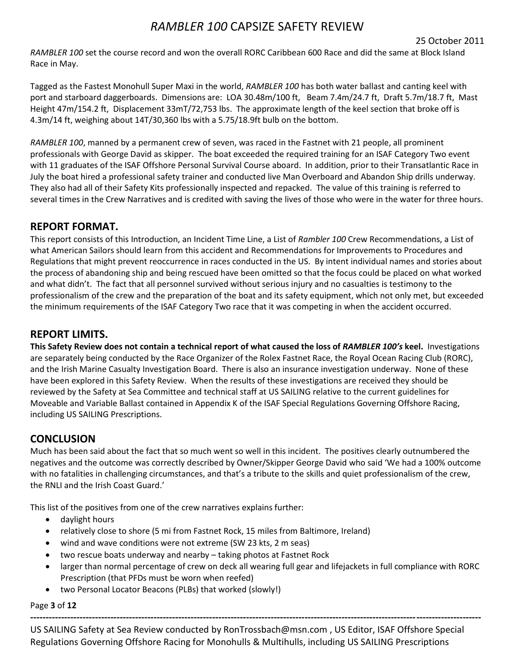*RAMBLER 100* set the course record and won the overall RORC Caribbean 600 Race and did the same at Block Island Race in May.

Tagged as the Fastest Monohull Super Maxi in the world, *RAMBLER 100* has both water ballast and canting keel with port and starboard daggerboards. Dimensions are: LOA 30.48m/100 ft, Beam 7.4m/24.7 ft, Draft 5.7m/18.7 ft, Mast Height 47m/154.2 ft, Displacement 33mT/72,753 lbs. The approximate length of the keel section that broke off is 4.3m/14 ft, weighing about 14T/30,360 lbs with a 5.75/18.9ft bulb on the bottom.

*RAMBLER 100*, manned by a permanent crew of seven, was raced in the Fastnet with 21 people, all prominent professionals with George David as skipper. The boat exceeded the required training for an ISAF Category Two event with 11 graduates of the ISAF Offshore Personal Survival Course aboard. In addition, prior to their Transatlantic Race in July the boat hired a professional safety trainer and conducted live Man Overboard and Abandon Ship drills underway. They also had all of their Safety Kits professionally inspected and repacked. The value of this training is referred to several times in the Crew Narratives and is credited with saving the lives of those who were in the water for three hours.

## **REPORT FORMAT.**

This report consists of this Introduction, an Incident Time Line, a List of *Rambler 100* Crew Recommendations, a List of what American Sailors should learn from this accident and Recommendations for Improvements to Procedures and Regulations that might prevent reoccurrence in races conducted in the US. By intent individual names and stories about the process of abandoning ship and being rescued have been omitted so that the focus could be placed on what worked and what didn't. The fact that all personnel survived without serious injury and no casualties is testimony to the professionalism of the crew and the preparation of the boat and its safety equipment, which not only met, but exceeded the minimum requirements of the ISAF Category Two race that it was competing in when the accident occurred.

## **REPORT LIMITS.**

**This Safety Review does not contain a technical report of what caused the loss of** *RAMBLER 100's* **keel.** Investigations are separately being conducted by the Race Organizer of the Rolex Fastnet Race, the Royal Ocean Racing Club (RORC), and the Irish Marine Casualty Investigation Board. There is also an insurance investigation underway. None of these have been explored in this Safety Review. When the results of these investigations are received they should be reviewed by the Safety at Sea Committee and technical staff at US SAILING relative to the current guidelines for Moveable and Variable Ballast contained in Appendix K of the ISAF Special Regulations Governing Offshore Racing, including US SAILING Prescriptions.

# **CONCLUSION**

Much has been said about the fact that so much went so well in this incident. The positives clearly outnumbered the negatives and the outcome was correctly described by Owner/Skipper George David who said 'We had a 100% outcome with no fatalities in challenging circumstances, and that's a tribute to the skills and quiet professionalism of the crew, the RNLI and the Irish Coast Guard.'

This list of the positives from one of the crew narratives explains further:

- daylight hours
- relatively close to shore (5 mi from Fastnet Rock, 15 miles from Baltimore, Ireland)
- wind and wave conditions were not extreme (SW 23 kts, 2 m seas)
- two rescue boats underway and nearby taking photos at Fastnet Rock
- larger than normal percentage of crew on deck all wearing full gear and lifejackets in full compliance with RORC Prescription (that PFDs must be worn when reefed)
- two Personal Locator Beacons (PLBs) that worked (slowly!)

Page **3** of **12**

US SAILING Safety at Sea Review conducted by RonTrossbach@msn.com , US Editor, ISAF Offshore Special Regulations Governing Offshore Racing for Monohulls & Multihulls, including US SAILING Prescriptions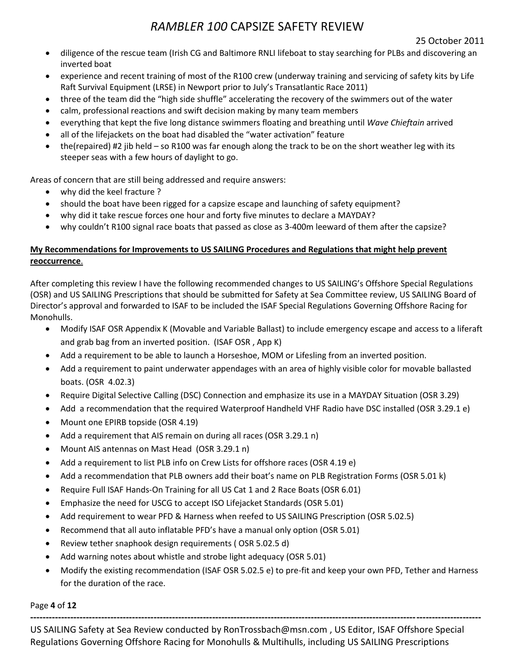### 25 October 2011

- diligence of the rescue team (Irish CG and Baltimore RNLI lifeboat to stay searching for PLBs and discovering an inverted boat
- experience and recent training of most of the R100 crew (underway training and servicing of safety kits by Life Raft Survival Equipment (LRSE) in Newport prior to July's Transatlantic Race 2011)
- three of the team did the "high side shuffle" accelerating the recovery of the swimmers out of the water
- calm, professional reactions and swift decision making by many team members
- everything that kept the five long distance swimmers floating and breathing until *Wave Chieftain* arrived
- all of the lifejackets on the boat had disabled the "water activation" feature
- the(repaired) #2 jib held so R100 was far enough along the track to be on the short weather leg with its steeper seas with a few hours of daylight to go.

Areas of concern that are still being addressed and require answers:

- why did the keel fracture ?
- should the boat have been rigged for a capsize escape and launching of safety equipment?
- why did it take rescue forces one hour and forty five minutes to declare a MAYDAY?
- why couldn't R100 signal race boats that passed as close as 3-400m leeward of them after the capsize?

## **My Recommendations for Improvements to US SAILING Procedures and Regulations that might help prevent reoccurrence**.

After completing this review I have the following recommended changes to US SAILING's Offshore Special Regulations (OSR) and US SAILING Prescriptions that should be submitted for Safety at Sea Committee review, US SAILING Board of Director's approval and forwarded to ISAF to be included the ISAF Special Regulations Governing Offshore Racing for Monohulls.

- Modify ISAF OSR Appendix K (Movable and Variable Ballast) to include emergency escape and access to a liferaft and grab bag from an inverted position. (ISAF OSR , App K)
- Add a requirement to be able to launch a Horseshoe, MOM or Lifesling from an inverted position.
- Add a requirement to paint underwater appendages with an area of highly visible color for movable ballasted boats. (OSR 4.02.3)
- Require Digital Selective Calling (DSC) Connection and emphasize its use in a MAYDAY Situation (OSR 3.29)
- Add a recommendation that the required Waterproof Handheld VHF Radio have DSC installed (OSR 3.29.1 e)
- Mount one EPIRB topside (OSR 4.19)
- Add a requirement that AIS remain on during all races (OSR 3.29.1 n)
- Mount AIS antennas on Mast Head (OSR 3.29.1 n)
- Add a requirement to list PLB info on Crew Lists for offshore races (OSR 4.19 e)
- Add a recommendation that PLB owners add their boat's name on PLB Registration Forms (OSR 5.01 k)
- Require Full ISAF Hands-On Training for all US Cat 1 and 2 Race Boats (OSR 6.01)
- Emphasize the need for USCG to accept ISO Lifejacket Standards (OSR 5.01)
- Add requirement to wear PFD & Harness when reefed to US SAILING Prescription (OSR 5.02.5)
- Recommend that all auto inflatable PFD's have a manual only option (OSR 5.01)
- Review tether snaphook design requirements ( OSR 5.02.5 d)
- Add warning notes about whistle and strobe light adequacy (OSR 5.01)
- Modify the existing recommendation (ISAF OSR 5.02.5 e) to pre-fit and keep your own PFD, Tether and Harness for the duration of the race.

Page **4** of **12**

US SAILING Safety at Sea Review conducted by RonTrossbach@msn.com , US Editor, ISAF Offshore Special Regulations Governing Offshore Racing for Monohulls & Multihulls, including US SAILING Prescriptions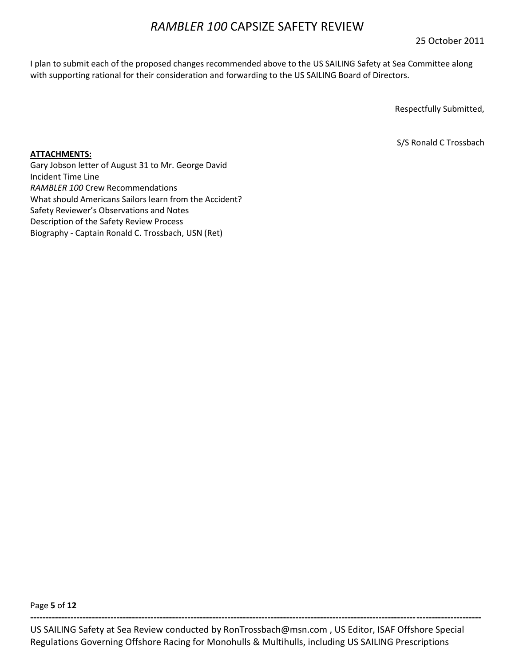25 October 2011

I plan to submit each of the proposed changes recommended above to the US SAILING Safety at Sea Committee along with supporting rational for their consideration and forwarding to the US SAILING Board of Directors.

Respectfully Submitted,

S/S Ronald C Trossbach

### **ATTACHMENTS:**

Gary Jobson letter of August 31 to Mr. George David Incident Time Line *RAMBLER 100* Crew Recommendations What should Americans Sailors learn from the Accident? Safety Reviewer's Observations and Notes Description of the Safety Review Process Biography - Captain Ronald C. Trossbach, USN (Ret)

Page **5** of **12**

US SAILING Safety at Sea Review conducted by RonTrossbach@msn.com , US Editor, ISAF Offshore Special Regulations Governing Offshore Racing for Monohulls & Multihulls, including US SAILING Prescriptions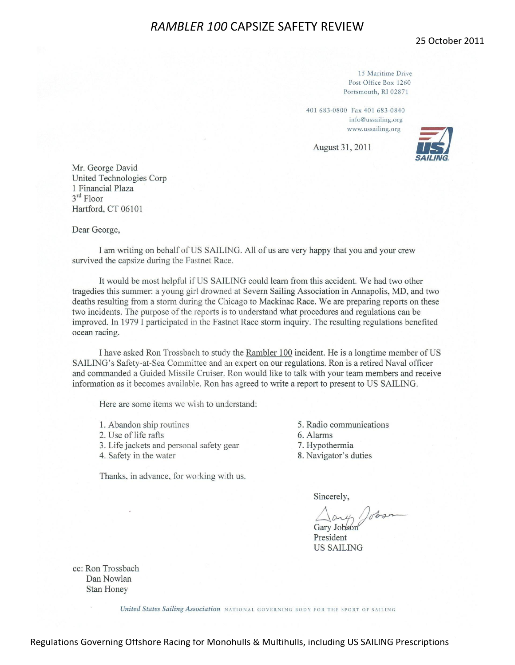25 October 2011

15 Maritime Drive Post Office Box 1260 Portsmouth, RI 02871

401 683-0800 Fax 401 683-0840 info@ussailing.org www.ussailing.org

August 31, 2011



Mr. George David United Technologies Corp 1 Financial Plaza  $3<sup>rd</sup>$  Floor Hartford, CT 06101

#### Dear George,

I am writing on behalf of US SAILING. All of us are very happy that you and your crew survived the capsize during the Fastnet Race.

It would be most helpful if US SAILING could learn from this accident. We had two other tragedies this summer: a young girl drowned at Severn Sailing Association in Annapolis, MD, and two deaths resulting from a storm during the Chicago to Mackinac Race. We are preparing reports on these two incidents. The purpose of the reports is to understand what procedures and regulations can be improved. In 1979 I participated in the Fastnet Race storm inquiry. The resulting regulations benefited ocean racing.

I have asked Ron Trossbach to study the Rambler 100 incident. He is a longtime member of US SAILING's Safety-at-Sea Committee and an expert on our regulations. Ron is a retired Naval officer and commanded a Guided Missile Cruiser. Ron would like to talk with your team members and receive information as it becomes available. Ron has agreed to write a report to present to US SAILING.

Here are some items we wish to understand:

- 1. Abandon ship routines
- 2. Use of life rafts
- 3. Life jackets and personal safety gear
- 4. Safety in the water

Thanks, in advance, for working with us.

- 5. Radio communications
- 6. Alarms
- 7. Hypothermia
- 8. Navigator's duties

Sincerely,

Gary Jobson President **US SAILING** 

cc: Ron Trossbach Dan Nowlan **Stan Honey** 

United States Sailing Association NATIONAL GOVERNING BODY FOR THE SPORT OF SAILING

Regulations Governing Offshore Racing for Monohulls & Multihulls, including US SAILING Prescriptions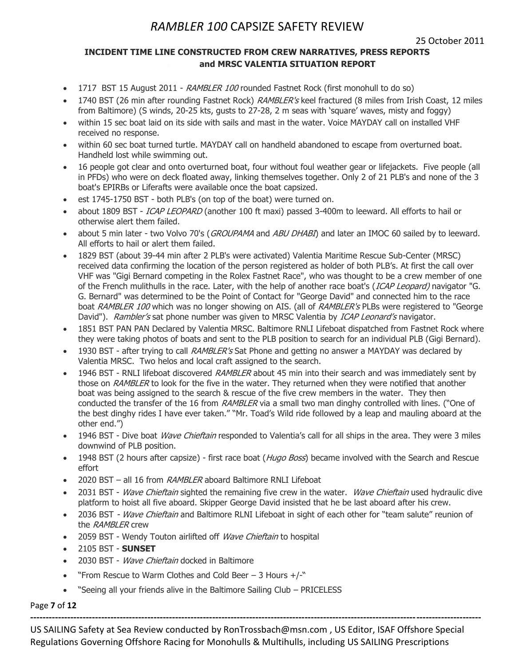25 October 2011

## **INCIDENT TIME LINE CONSTRUCTED FROM CREW NARRATIVES, PRESS REPORTS and MRSC VALENTIA SITUATION REPORT**

- 1717 BST 15 August 2011 RAMBLER 100 rounded Fastnet Rock (first monohull to do so)
- 1740 BST (26 min after rounding Fastnet Rock) RAMBLER's keel fractured (8 miles from Irish Coast, 12 miles from Baltimore) (S winds, 20-25 kts, gusts to 27-28, 2 m seas with "square" waves, misty and foggy)
- within 15 sec boat laid on its side with sails and mast in the water. Voice MAYDAY call on installed VHF received no response.
- within 60 sec boat turned turtle. MAYDAY call on handheld abandoned to escape from overturned boat. Handheld lost while swimming out.
- 16 people got clear and onto overturned boat, four without foul weather gear or lifejackets. Five people (all in PFDs) who were on deck floated away, linking themselves together. Only 2 of 21 PLB's and none of the 3 boat's EPIRBs or Liferafts were available once the boat capsized.
- est 1745-1750 BST both PLB's (on top of the boat) were turned on.
- about 1809 BST ICAP LEOPARD (another 100 ft maxi) passed 3-400m to leeward. All efforts to hail or otherwise alert them failed.
- about 5 min later two Volvo 70's (*GROUPAMA* and *ABU DHABI*) and later an IMOC 60 sailed by to leeward. All efforts to hail or alert them failed.
- 1829 BST (about 39-44 min after 2 PLB's were activated) Valentia Maritime Rescue Sub-Center (MRSC) received data confirming the location of the person registered as holder of both PLB"s. At first the call over VHF was "Gigi Bernard competing in the Rolex Fastnet Race", who was thought to be a crew member of one of the French mulithulls in the race. Later, with the help of another race boat's (ICAP Leopard) navigator "G. G. Bernard" was determined to be the Point of Contact for "George David" and connected him to the race boat RAMBLER 100 which was no longer showing on AIS. (all of RAMBLER's PLBs were registered to "George David"). Rambler's sat phone number was given to MRSC Valentia by ICAP Leonard's navigator.
- 1851 BST PAN PAN Declared by Valentia MRSC. Baltimore RNLI Lifeboat dispatched from Fastnet Rock where they were taking photos of boats and sent to the PLB position to search for an individual PLB (Gigi Bernard).
- 1930 BST after trying to call RAMBLER's Sat Phone and getting no answer a MAYDAY was declared by Valentia MRSC. Two helos and local craft assigned to the search.
- 1946 BST RNLI lifeboat discovered *RAMBLER* about 45 min into their search and was immediately sent by those on RAMBLER to look for the five in the water. They returned when they were notified that another boat was being assigned to the search & rescue of the five crew members in the water. They then conducted the transfer of the 16 from RAMBLER via a small two man dinghy controlled with lines. ("One of the best dinghy rides I have ever taken." "Mr. Toad"s Wild ride followed by a leap and mauling aboard at the other end.")
- 1946 BST Dive boat Wave Chieftain responded to Valentia's call for all ships in the area. They were 3 miles downwind of PLB position.
- 1948 BST (2 hours after capsize) first race boat (*Hugo Boss*) became involved with the Search and Rescue effort
- 2020 BST all 16 from RAMBLER aboard Baltimore RNLI Lifeboat
- 2031 BST Wave Chieftain sighted the remaining five crew in the water. Wave Chieftain used hydraulic dive platform to hoist all five aboard. Skipper George David insisted that he be last aboard after his crew.
- 2036 BST Wave Chieftain and Baltimore RLNI Lifeboat in sight of each other for "team salute" reunion of the RAMBLER crew
- 2059 BST Wendy Touton airlifted off Wave Chieftain to hospital
- 2105 BST **SUNSET**
- 2030 BST *Wave Chieftain* docked in Baltimore
- "From Rescue to Warm Clothes and Cold Beer  $-$  3 Hours  $+/-$ "
- "Seeing all your friends alive in the Baltimore Sailing Club PRICELESS

Page **7** of **12**

US SAILING Safety at Sea Review conducted by RonTrossbach@msn.com , US Editor, ISAF Offshore Special Regulations Governing Offshore Racing for Monohulls & Multihulls, including US SAILING Prescriptions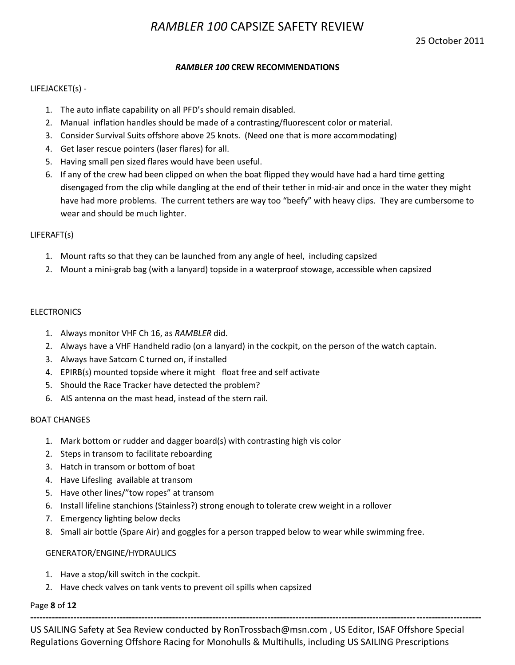### *RAMBLER 100* **CREW RECOMMENDATIONS**

### LIFEJACKET(s) -

- 1. The auto inflate capability on all PFD's should remain disabled.
- 2. Manual inflation handles should be made of a contrasting/fluorescent color or material.
- 3. Consider Survival Suits offshore above 25 knots. (Need one that is more accommodating)
- 4. Get laser rescue pointers (laser flares) for all.
- 5. Having small pen sized flares would have been useful.
- 6. If any of the crew had been clipped on when the boat flipped they would have had a hard time getting disengaged from the clip while dangling at the end of their tether in mid-air and once in the water they might have had more problems. The current tethers are way too "beefy" with heavy clips. They are cumbersome to wear and should be much lighter.

### LIFERAFT(s)

- 1. Mount rafts so that they can be launched from any angle of heel, including capsized
- 2. Mount a mini-grab bag (with a lanyard) topside in a waterproof stowage, accessible when capsized

#### **ELECTRONICS**

- 1. Always monitor VHF Ch 16, as *RAMBLER* did.
- 2. Always have a VHF Handheld radio (on a lanyard) in the cockpit, on the person of the watch captain.
- 3. Always have Satcom C turned on, if installed
- 4. EPIRB(s) mounted topside where it might float free and self activate
- 5. Should the Race Tracker have detected the problem?
- 6. AIS antenna on the mast head, instead of the stern rail.

#### BOAT CHANGES

- 1. Mark bottom or rudder and dagger board(s) with contrasting high vis color
- 2. Steps in transom to facilitate reboarding
- 3. Hatch in transom or bottom of boat
- 4. Have Lifesling available at transom
- 5. Have other lines/"tow ropes" at transom
- 6. Install lifeline stanchions (Stainless?) strong enough to tolerate crew weight in a rollover
- 7. Emergency lighting below decks
- 8. Small air bottle (Spare Air) and goggles for a person trapped below to wear while swimming free.

#### GENERATOR/ENGINE/HYDRAULICS

- 1. Have a stop/kill switch in the cockpit.
- 2. Have check valves on tank vents to prevent oil spills when capsized

### Page **8** of **12**

US SAILING Safety at Sea Review conducted by RonTrossbach@msn.com , US Editor, ISAF Offshore Special Regulations Governing Offshore Racing for Monohulls & Multihulls, including US SAILING Prescriptions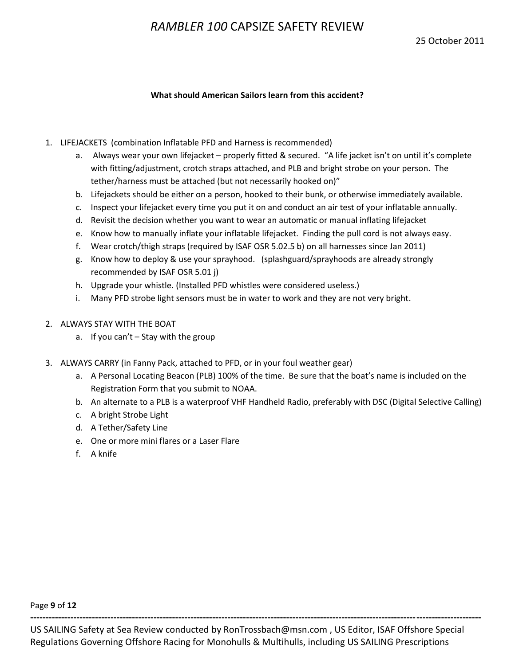### **What should American Sailors learn from this accident?**

- 1. LIFEJACKETS (combination Inflatable PFD and Harness is recommended)
	- a. Always wear your own lifejacket properly fitted & secured. "A life jacket isn't on until it's complete with fitting/adjustment, crotch straps attached, and PLB and bright strobe on your person. The tether/harness must be attached (but not necessarily hooked on)"
	- b. Lifejackets should be either on a person, hooked to their bunk, or otherwise immediately available.
	- c. Inspect your lifejacket every time you put it on and conduct an air test of your inflatable annually.
	- d. Revisit the decision whether you want to wear an automatic or manual inflating lifejacket
	- e. Know how to manually inflate your inflatable lifejacket. Finding the pull cord is not always easy.
	- f. Wear crotch/thigh straps (required by ISAF OSR 5.02.5 b) on all harnesses since Jan 2011)
	- g. Know how to deploy & use your sprayhood. (splashguard/sprayhoods are already strongly recommended by ISAF OSR 5.01 j)
	- h. Upgrade your whistle. (Installed PFD whistles were considered useless.)
	- i. Many PFD strobe light sensors must be in water to work and they are not very bright.
- 2. ALWAYS STAY WITH THE BOAT
	- a. If you can't Stay with the group
- 3. ALWAYS CARRY (in Fanny Pack, attached to PFD, or in your foul weather gear)
	- a. A Personal Locating Beacon (PLB) 100% of the time. Be sure that the boat's name is included on the Registration Form that you submit to NOAA.
	- b. An alternate to a PLB is a waterproof VHF Handheld Radio, preferably with DSC (Digital Selective Calling)
	- c. A bright Strobe Light
	- d. A Tether/Safety Line
	- e. One or more mini flares or a Laser Flare
	- f. A knife

Page **9** of **12**

US SAILING Safety at Sea Review conducted by RonTrossbach@msn.com , US Editor, ISAF Offshore Special Regulations Governing Offshore Racing for Monohulls & Multihulls, including US SAILING Prescriptions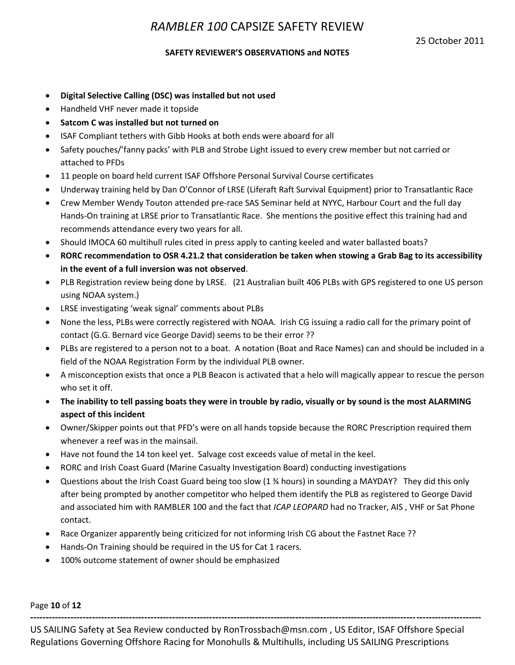### **SAFETY REVIEWER'S OBSERVATIONS and NOTES**

- **Digital Selective Calling (DSC) was installed but not used**
- Handheld VHF never made it topside
- **Satcom C was installed but not turned on**
- ISAF Compliant tethers with Gibb Hooks at both ends were aboard for all
- Safety pouches/'fanny packs' with PLB and Strobe Light issued to every crew member but not carried or attached to PFDs
- 11 people on board held current ISAF Offshore Personal Survival Course certificates
- Underway training held by Dan O'Connor of LRSE (Liferaft Raft Survival Equipment) prior to Transatlantic Race
- Crew Member Wendy Touton attended pre-race SAS Seminar held at NYYC, Harbour Court and the full day Hands-On training at LRSE prior to Transatlantic Race. She mentions the positive effect this training had and recommends attendance every two years for all.
- Should IMOCA 60 multihull rules cited in press apply to canting keeled and water ballasted boats?
- **RORC recommendation to OSR 4.21.2 that consideration be taken when stowing a Grab Bag to its accessibility in the event of a full inversion was not observed**.
- PLB Registration review being done by LRSE. (21 Australian built 406 PLBs with GPS registered to one US person using NOAA system.)
- LRSE investigating 'weak signal' comments about PLBs
- None the less, PLBs were correctly registered with NOAA. Irish CG issuing a radio call for the primary point of contact (G.G. Bernard vice George David) seems to be their error ??
- PLBs are registered to a person not to a boat. A notation (Boat and Race Names) can and should be included in a field of the NOAA Registration Form by the individual PLB owner.
- A misconception exists that once a PLB Beacon is activated that a helo will magically appear to rescue the person who set it off.
- **The inability to tell passing boats they were in trouble by radio, visually or by sound is the most ALARMING aspect of this incident**
- Owner/Skipper points out that PFD's were on all hands topside because the RORC Prescription required them whenever a reef was in the mainsail.
- Have not found the 14 ton keel yet. Salvage cost exceeds value of metal in the keel.
- RORC and Irish Coast Guard (Marine Casualty Investigation Board) conducting investigations
- Questions about the Irish Coast Guard being too slow (1 ¾ hours) in sounding a MAYDAY? They did this only after being prompted by another competitor who helped them identify the PLB as registered to George David and associated him with RAMBLER 100 and the fact that *ICAP LEOPARD* had no Tracker, AIS , VHF or Sat Phone contact.
- Race Organizer apparently being criticized for not informing Irish CG about the Fastnet Race ??
- Hands-On Training should be required in the US for Cat 1 racers.
- 100% outcome statement of owner should be emphasized

Page **10** of **12**

US SAILING Safety at Sea Review conducted by RonTrossbach@msn.com , US Editor, ISAF Offshore Special Regulations Governing Offshore Racing for Monohulls & Multihulls, including US SAILING Prescriptions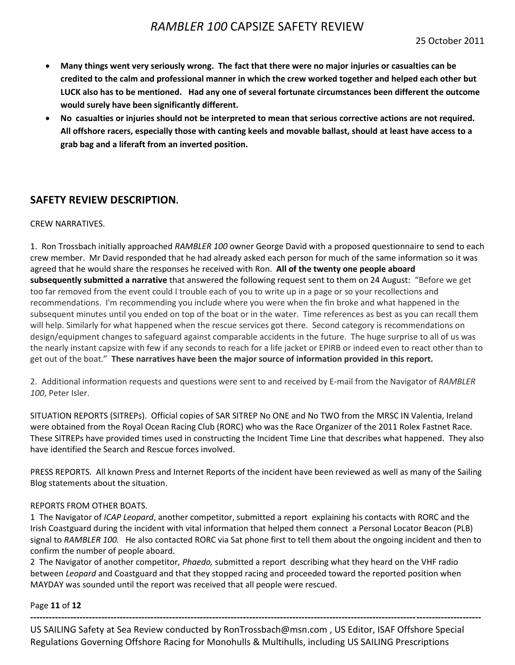- **Many things went very seriously wrong. The fact that there were no major injuries or casualties can be credited to the calm and professional manner in which the crew worked together and helped each other but LUCK also has to be mentioned. Had any one of several fortunate circumstances been different the outcome would surely have been significantly different.**
- **No casualties or injuries should not be interpreted to mean that serious corrective actions are not required. All offshore racers, especially those with canting keels and movable ballast, should at least have access to a grab bag and a liferaft from an inverted position.**

## **SAFETY REVIEW DESCRIPTION.**

### CREW NARRATIVES.

1. Ron Trossbach initially approached *RAMBLER 100* owner George David with a proposed questionnaire to send to each crew member. Mr David responded that he had already asked each person for much of the same information so it was agreed that he would share the responses he received with Ron. **All of the twenty one people aboard subsequently submitted a narrative** that answered the following request sent to them on 24 August: "Before we get too far removed from the event could I trouble each of you to write up in a page or so your recollections and recommendations. I'm recommending you include where you were when the fin broke and what happened in the subsequent minutes until you ended on top of the boat or in the water. Time references as best as you can recall them will help. Similarly for what happened when the rescue services got there. Second category is recommendations on design/equipment changes to safeguard against comparable accidents in the future. The huge surprise to all of us was the nearly instant capsize with few if any seconds to reach for a life jacket or EPIRB or indeed even to react other than to get out of the boat." **These narratives have been the major source of information provided in this report.**

2. Additional information requests and questions were sent to and received by E-mail from the Navigator of *RAMBLER 100*, Peter Isler.

SITUATION REPORTS (SITREPs). Official copies of SAR SITREP No ONE and No TWO from the MRSC IN Valentia, Ireland were obtained from the Royal Ocean Racing Club (RORC) who was the Race Organizer of the 2011 Rolex Fastnet Race. These SITREPs have provided times used in constructing the Incident Time Line that describes what happened. They also have identified the Search and Rescue forces involved.

PRESS REPORTS. All known Press and Internet Reports of the incident have been reviewed as well as many of the Sailing Blog statements about the situation.

### REPORTS FROM OTHER BOATS.

1 The Navigator of *ICAP Leopard*, another competitor, submitted a report explaining his contacts with RORC and the Irish Coastguard during the incident with vital information that helped them connect a Personal Locator Beacon (PLB) signal to *RAMBLER 100.* He also contacted RORC via Sat phone first to tell them about the ongoing incident and then to confirm the number of people aboard.

2 The Navigator of another competitor, *Phaedo,* submitted a report describing what they heard on the VHF radio between *Leopard* and Coastguard and that they stopped racing and proceeded toward the reported position when MAYDAY was sounded until the report was received that all people were rescued.

Page **11** of **12**

US SAILING Safety at Sea Review conducted by RonTrossbach@msn.com , US Editor, ISAF Offshore Special Regulations Governing Offshore Racing for Monohulls & Multihulls, including US SAILING Prescriptions